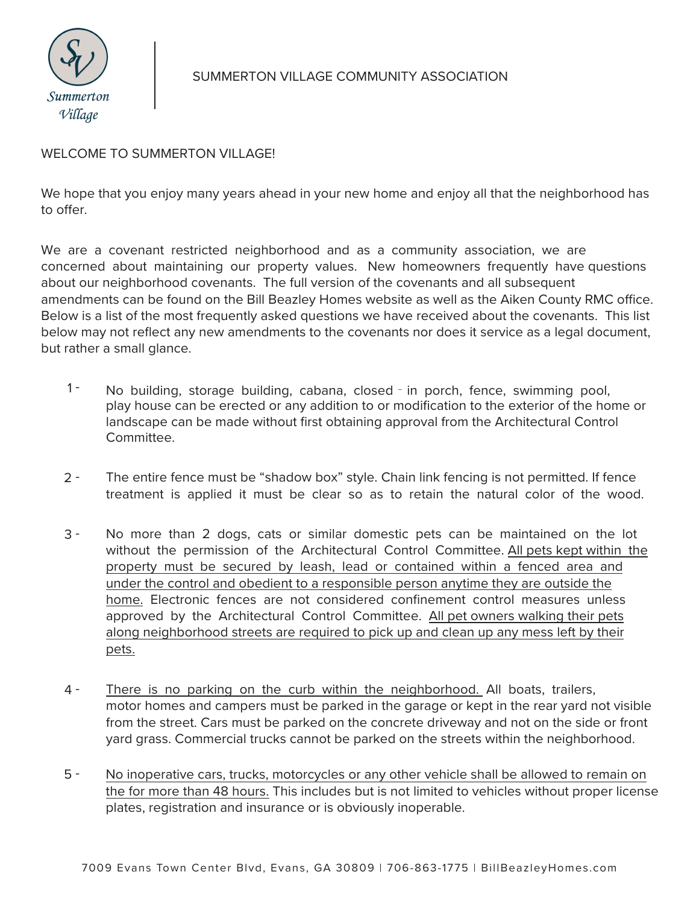

## SUMMERTON VILLAGE COMMUNITY ASSOCIATION

## WELCOME TO SUMMERTON VILLAGE!

We hope that you enjoy many years ahead in your new home and enjoy all that the neighborhood has to offer.

We are a covenant restricted neighborhood and as a community association, we are concerned about maintaining our property values. New homeowners frequently have questions about our neighborhood covenants. The full version of the covenants and all subsequent amendments can be found on the Bill Beazley Homes website as well as the Aiken County RMC office. Below is a list of the most frequently asked questions we have received about the covenants. This list below may not reflect any new amendments to the covenants nor does it service as a legal document, but rather a small glance.

- $1 -$ No building, storage building, cabana, closed - in porch, fence, swimming pool, play house can be erected or any addition to or modification to the exterior of the home or landscape can be made without first obtaining approval from the Architectural Control Committee.
- $2 -$ The entire fence must be "shadow box" style. Chain link fencing is not permitted. If fence treatment is applied it must be clear so as to retain the natural color of the wood.
- 3 No more than 2 dogs, cats or similar domestic pets can be maintained on the lot without the permission of the Architectural Control Committee. All pets kept within the property must be secured by leash, lead or contained within a fenced area and under the control and obedient to a responsible person anytime they are outside the home. Electronic fences are not considered confinement control measures unless approved by the Architectural Control Committee. All pet owners walking their pets along neighborhood streets are required to pick up and clean up any mess left by their pets.
- 4 There is no parking on the curb within the neighborhood. All boats, trailers, motor homes and campers must be parked in the garage or kept in the rear yard not visible from the street. Cars must be parked on the concrete driveway and not on the side or front yard grass. Commercial trucks cannot be parked on the streets within the neighborhood.
- 5 No inoperative cars, trucks, motorcycles or any other vehicle shall be allowed to remain on the for more than 48 hours. This includes but is not limited to vehicles without proper license plates, registration and insurance or is obviously inoperable.